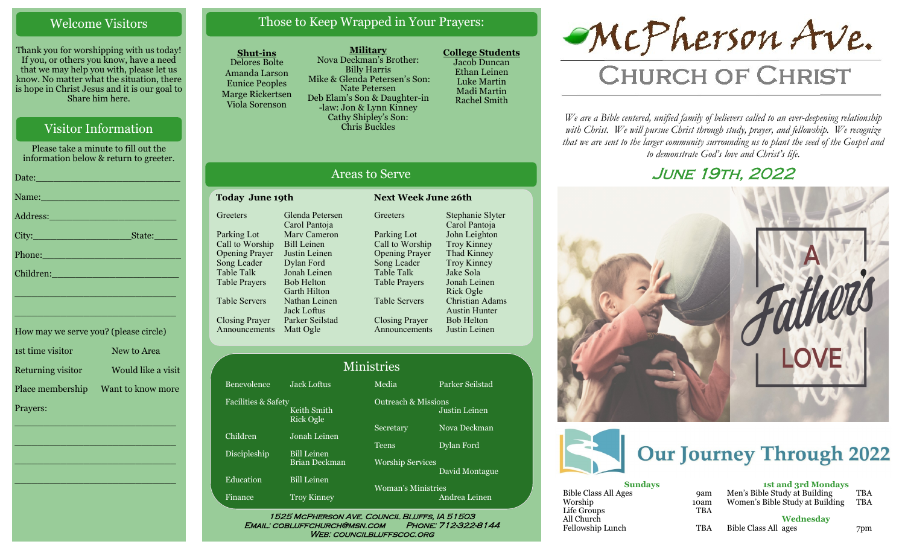# Welcome Visitors

Thank you for worshipping with us today! If you, or others you know, have a need that we may help you with, please let us know. No matter what the situation, there is hope in Christ Jesus and it is our goal to Share him here.

# Visitor Information

Please take a minute to fill out the information below & return to greeter.

| Name: Name and the second contract of the second contract of the second contract of the second contract of the                                                                                                                  |
|---------------------------------------------------------------------------------------------------------------------------------------------------------------------------------------------------------------------------------|
| Address: 2008 - 2008 - 2010 - 2010 - 2010 - 2010 - 2010 - 2011 - 2012 - 2012 - 2012 - 2012 - 2012 - 2012 - 20                                                                                                                   |
|                                                                                                                                                                                                                                 |
| Phone: The Contract of the Contract of the Contract of the Contract of the Contract of the Contract of the Contract of the Contract of the Contract of the Contract of the Contract of the Contract of the Contract of the Con  |
| Children: 2008 - 2008 - 2008 - 2019 - 2019 - 2019 - 2019 - 2019 - 2019 - 2019 - 2019 - 2019 - 2019 - 2019 - 20<br>2019 - 2019 - 2019 - 2019 - 2019 - 2019 - 2019 - 2019 - 2019 - 2019 - 2019 - 2019 - 2019 - 2019 - 2019 - 2019 |
| <u> 1989 - Johann Stein, marwolaethau a bhann an t-Amhain an t-Amhain an t-Amhain an t-Amhain an t-Amhain an t-A</u>                                                                                                            |
|                                                                                                                                                                                                                                 |

| How may we serve you? (please circle) |                    |
|---------------------------------------|--------------------|
| 1st time visitor                      | New to Area        |
| Returning visitor                     | Would like a visit |
| Place membership                      | Want to know more  |
| Prayers:                              |                    |

\_\_\_\_\_\_\_\_\_\_\_\_\_\_\_\_\_\_\_\_\_\_\_\_\_\_\_\_

 $\overline{\phantom{a}}$  , and the set of the set of the set of the set of the set of the set of the set of the set of the set of the set of the set of the set of the set of the set of the set of the set of the set of the set of the s

 $\overline{\phantom{a}}$  , and the set of the set of the set of the set of the set of the set of the set of the set of the set of the set of the set of the set of the set of the set of the set of the set of the set of the set of the s

\_\_\_\_\_\_\_\_\_\_\_\_\_\_\_\_\_\_\_\_\_\_\_\_\_\_\_\_

\_\_\_\_\_\_\_\_\_\_\_\_\_\_\_\_\_\_\_\_\_\_\_\_\_\_\_\_

# Those to Keep Wrapped in Your Prayers:

#### **Shut-ins**

Benevolence Facilities & Safe

**Greeters** 

Children

Discipleship

**Education** 

Finance

Delores Bolte Amanda Larson Eunice Peoples Marge Rickertsen Viola Sorenson

**Military** Nova Deckman's Brother: Billy Harris Mike & Glenda Petersen's Son: Nate Petersen Deb Elam's Son & Daughter-in -law: Jon & Lynn Kinney Cathy Shipley's Son: Chris Buckles

Areas to Serve

**Greeters** 

**College Students**  Jacob Duncan Ethan Leinen Luke Martin Madi Martin Rachel Smith

Stephanie Slyter Carol Pantoja John Leighton Troy Kinney Thad Kinney Troy Kinney Jake Sola Jonah Leinen Rick Ogle Christian Adams Austin Hunter Bob Helton Justin Leinen

# McPherson Ave.

# **CHURCH OF CHRIST**

*We are a Bible centered, unified family of believers called to an ever-deepening relationship*  with Christ. We will pursue Christ through study, prayer, and fellowship. We recognize *that we are sent to the larger community surrounding us to plant the seed of the Gospel and to demonstrate God's love and Christ's life.*

# June 19th, 2022





| <b>Sundays</b>       |            | <b>1st and 3rd Mondays</b>      |            |
|----------------------|------------|---------------------------------|------------|
| Bible Class All Ages | 9am        | Men's Bible Study at Building   | TBA        |
| Worship              | 10am       | Women's Bible Study at Building | <b>TBA</b> |
| Life Groups          | <b>TBA</b> |                                 |            |
| All Church           |            | Wednesday                       |            |
| Fellowship Lunch     | <b>TBA</b> | Bible Class All ages            | 7pm        |

| Parking Lot           | Mary Cameron       | Parking Lot                              |
|-----------------------|--------------------|------------------------------------------|
| Call to Worship       | <b>Bill Leinen</b> | Call to Worship                          |
| <b>Opening Prayer</b> | Justin Leinen      | <b>Opening Prayer</b>                    |
| Song Leader           | Dylan Ford         | Song Leader                              |
| <b>Table Talk</b>     | Jonah Leinen       | Table Talk                               |
| Table Prayers         | <b>Bob Helton</b>  | <b>Table Prayers</b>                     |
|                       | Garth Hilton       |                                          |
| <b>Table Servers</b>  | Nathan Leinen      | <b>Table Servers</b>                     |
|                       | Jack Loftus        |                                          |
| Closing Prayer        | Parker Seilstad    | <b>Closing Prayer</b>                    |
| Announcements         | Matt Ogle          | Announcements                            |
|                       |                    |                                          |
|                       |                    | $N$ $I^*$ . $I^*$ . In the set of $\sim$ |

Glenda Petersen Carol Pantoja

**Today June 19th Next Week June 26th**

|                                       | Ministries |
|---------------------------------------|------------|
| <b>Jack Loftus</b>                    | Media      |
| ty<br>Keith Smith<br><b>Rick Ogle</b> | Outrea     |
| Jonah Leinen                          | Secreta    |
| <b>Bill Leinen</b>                    | Teens      |
| Brian Deckman                         | Worshi     |
| <b>Bill Leinen</b>                    | Womai      |
| <b>Troy Kinney</b>                    |            |

- Parker Seilstad each & Missions
- Justin Leinen etary Nova Deckman

Dylan Ford

ship Services

David Montague

an's Ministries Andrea Leinen

1525 McPherson Ave. Council Bluffs, IA 51503 Email: cobluffchurch@msn.com Phone: 712-322-8144 WEB: COUNCILBLUFFSCOC.ORG